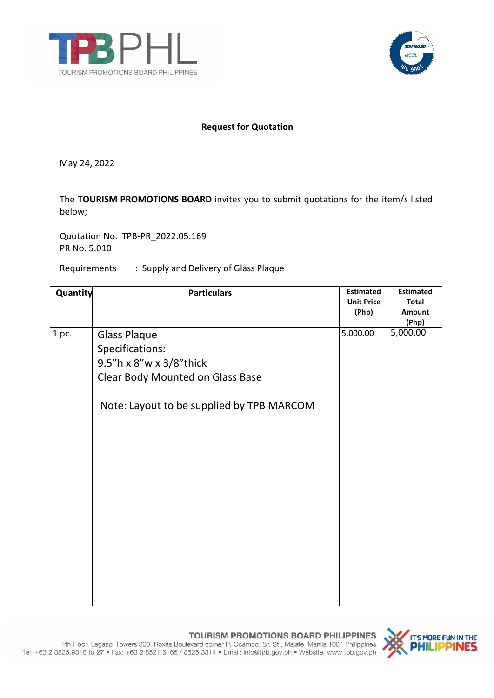



## **Request for Quotation**

May 24, 2022

The **TOURISM PROMOTIONS BOARD** invites you to submit quotations for the item/s listed below;

Quotation No. TPB-PR\_2022.05.169 PR No. 5.010

Requirements : Supply and Delivery of Glass Plaque

| Quantity | <b>Particulars</b>                                                                                    | <b>Estimated</b><br><b>Unit Price</b><br>(Php) | <b>Estimated</b><br><b>Total</b><br>Amount<br>(Php) |
|----------|-------------------------------------------------------------------------------------------------------|------------------------------------------------|-----------------------------------------------------|
| 1 pc.    | <b>Glass Plaque</b><br>Specifications:<br>9.5"h x 8"w x 3/8"thick<br>Clear Body Mounted on Glass Base | 5,000.00                                       | 5,000.00                                            |
|          | Note: Layout to be supplied by TPB MARCOM                                                             |                                                |                                                     |

TOURISM PROMOTIONS BOARD PHILIPPINES 4th Floor, Legaspi Towers 300, Roxas Boulevard corner P. Ocampo, Sr. St., Malate, Manila 1004 Philippines Tel: +63 2 8525.9318 to 27 . Fax: +63 2 8521.6165 / 8525.3314 . Email: info@tpb.gov.ph . Website: www.tpb.gov.ph